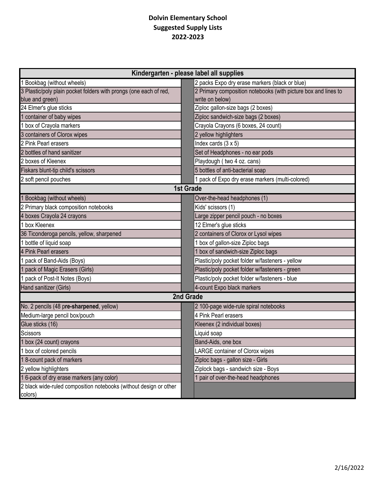## **Dolvin Elementary School Suggested Supply Lists 2022-2023**

| Kindergarten - please label all supplies                          |                                                                |  |
|-------------------------------------------------------------------|----------------------------------------------------------------|--|
| 1 Bookbag (without wheels)                                        | 2 packs Expo dry erase markers (black or blue)                 |  |
| 3 Plastic/poly plain pocket folders with prongs (one each of red, | 2 Primary composition notebooks (with picture box and lines to |  |
| blue and green)                                                   | write on below)                                                |  |
| 24 Elmer's glue sticks                                            | Ziploc gallon-size bags (2 boxes)                              |  |
| container of baby wipes                                           | Ziploc sandwich-size bags (2 boxes)                            |  |
| 1 box of Crayola markers                                          | Crayola Crayons (6 boxes, 24 count)                            |  |
| 3 containers of Clorox wipes                                      | 2 yellow highlighters                                          |  |
| 2 Pink Pearl erasers                                              | Index cards $(3 \times 5)$                                     |  |
| 2 bottles of hand sanitizer                                       | Set of Headphones - no ear pods                                |  |
| 2 boxes of Kleenex                                                | Playdough (two 4 oz. cans)                                     |  |
| Fiskars blunt-tip child's scissors                                | 5 bottles of anti-bacterial soap                               |  |
| 2 soft pencil pouches                                             | 1 pack of Expo dry erase markers (multi-colored)               |  |
| <b>1st Grade</b>                                                  |                                                                |  |
| 1 Bookbag (without wheels)                                        | Over-the-head headphones (1)                                   |  |
| 2 Primary black composition notebooks                             | Kids' scissors (1)                                             |  |
| 4 boxes Crayola 24 crayons                                        | Large zipper pencil pouch - no boxes                           |  |
| 1 box Kleenex                                                     | 12 Elmer's glue sticks                                         |  |
| 36 Ticonderoga pencils, yellow, sharpened                         | 2 containers of Clorox or Lysol wipes                          |  |
| 1 bottle of liquid soap                                           | 1 box of gallon-size Ziploc bags                               |  |
| 4 Pink Pearl erasers                                              | 1 box of sandwich-size Ziploc bags                             |  |
| 1 pack of Band-Aids (Boys)                                        | Plastic/poly pocket folder w/fasteners - yellow                |  |
| pack of Magic Erasers (Girls)                                     | Plastic/poly pocket folder w/fasteners - green                 |  |
| pack of Post-It Notes (Boys)                                      | Plastic/poly pocket folder w/fasteners - blue                  |  |
| Hand sanitizer (Girls)                                            | 4-count Expo black markers                                     |  |
| 2nd Grade                                                         |                                                                |  |
| No. 2 pencils (48 pre-sharpened, yellow)                          | 2 100-page wide-rule spiral notebooks                          |  |
| Medium-large pencil box/pouch                                     | 4 Pink Pearl erasers                                           |  |
| Glue sticks (16)                                                  | Kleenex (2 individual boxes)                                   |  |
| Scissors                                                          | Liquid soap                                                    |  |
| 1 box (24 count) crayons                                          | Band-Aids, one box                                             |  |
| 1 box of colored pencils                                          | LARGE container of Clorox wipes                                |  |
| 18-count pack of markers                                          | Ziploc bags - gallon size - Girls                              |  |
| 2 yellow highlighters                                             | Ziplock bags - sandwich size - Boys                            |  |
| 1 6-pack of dry erase markers (any color)                         | 1 pair of over-the-head headphones                             |  |
| 2 black wide-ruled composition notebooks (without design or other |                                                                |  |
| colors)                                                           |                                                                |  |